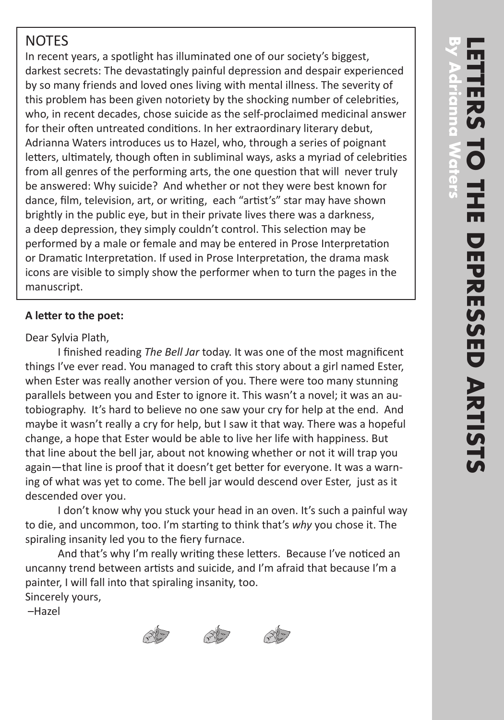# **NOTES**

In recent years, a spotlight has illuminated one of our society's biggest, darkest secrets: The devastatingly painful depression and despair experienced by so many friends and loved ones living with mental illness. The severity of this problem has been given notoriety by the shocking number of celebrities, who, in recent decades, chose suicide as the self-proclaimed medicinal answer for their often untreated conditions. In her extraordinary literary debut, Adrianna Waters introduces us to Hazel, who, through a series of poignant letters, ultimately, though often in subliminal ways, asks a myriad of celebrities from all genres of the performing arts, the one question that will never truly be answered: Why suicide? And whether or not they were best known for dance, film, television, art, or writing, each "artist's" star may have shown brightly in the public eye, but in their private lives there was a darkness, a deep depression, they simply couldn't control. This selection may be performed by a male or female and may be entered in Prose Interpretation or Dramatic Interpretation. If used in Prose Interpretation, the drama mask icons are visible to simply show the performer when to turn the pages in the manuscript.

## **A letter to the poet:**

### Dear Sylvia Plath,

 I finished reading *The Bell Jar* today. It was one of the most magnificent things I've ever read. You managed to craft this story about a girl named Ester, when Ester was really another version of you. There were too many stunning parallels between you and Ester to ignore it. This wasn't a novel; it was an autobiography. It's hard to believe no one saw your cry for help at the end. And maybe it wasn't really a cry for help, but I saw it that way. There was a hopeful change, a hope that Ester would be able to live her life with happiness. But that line about the bell jar, about not knowing whether or not it will trap you again—that line is proof that it doesn't get better for everyone. It was a warning of what was yet to come. The bell jar would descend over Ester, just as it descended over you.

 I don't know why you stuck your head in an oven. It's such a painful way to die, and uncommon, too. I'm starting to think that's *why* you chose it. The spiraling insanity led you to the fiery furnace.

 And that's why I'm really writing these letters. Because I've noticed an uncanny trend between artists and suicide, and I'm afraid that because I'm a painter, I will fall into that spiraling insanity, too. Sincerely yours,

–Hazel